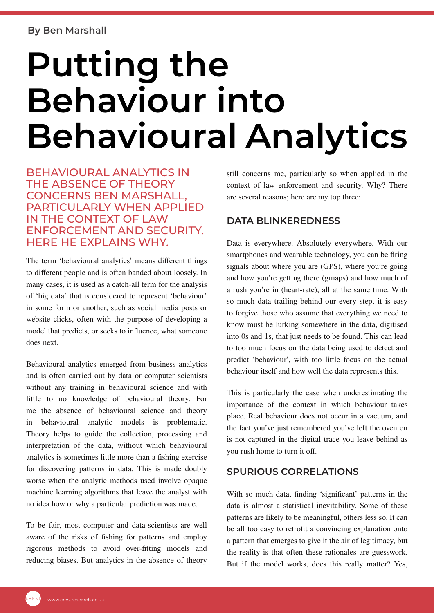## **Putting the Behaviour into Behavioural Analytics**

BEHAVIOURAL ANALYTICS IN THE ABSENCE OF THEORY CONCERNS BEN MARSHALL, PARTICULARLY WHEN APPLIED IN THE CONTEXT OF LAW ENFORCEMENT AND SECURITY. HERE HE EXPLAINS WHY.

The term 'behavioural analytics' means different things to different people and is often banded about loosely. In many cases, it is used as a catch-all term for the analysis of 'big data' that is considered to represent 'behaviour' in some form or another, such as social media posts or website clicks, often with the purpose of developing a model that predicts, or seeks to influence, what someone does next.

Behavioural analytics emerged from business analytics and is often carried out by data or computer scientists without any training in behavioural science and with little to no knowledge of behavioural theory. For me the absence of behavioural science and theory in behavioural analytic models is problematic. Theory helps to guide the collection, processing and interpretation of the data, without which behavioural analytics is sometimes little more than a fishing exercise for discovering patterns in data. This is made doubly worse when the analytic methods used involve opaque machine learning algorithms that leave the analyst with no idea how or why a particular prediction was made.

To be fair, most computer and data-scientists are well aware of the risks of fishing for patterns and employ rigorous methods to avoid over-fitting models and reducing biases. But analytics in the absence of theory still concerns me, particularly so when applied in the context of law enforcement and security. Why? There are several reasons; here are my top three:

## **DATA BLINKEREDNESS**

Data is everywhere. Absolutely everywhere. With our smartphones and wearable technology, you can be firing signals about where you are (GPS), where you're going and how you're getting there (gmaps) and how much of a rush you're in (heart-rate), all at the same time. With so much data trailing behind our every step, it is easy to forgive those who assume that everything we need to know must be lurking somewhere in the data, digitised into 0s and 1s, that just needs to be found. This can lead to too much focus on the data being used to detect and predict 'behaviour', with too little focus on the actual behaviour itself and how well the data represents this.

This is particularly the case when underestimating the importance of the context in which behaviour takes place. Real behaviour does not occur in a vacuum, and the fact you've just remembered you've left the oven on is not captured in the digital trace you leave behind as you rush home to turn it off.

## **SPURIOUS CORRELATIONS**

With so much data, finding 'significant' patterns in the data is almost a statistical inevitability. Some of these patterns are likely to be meaningful, others less so. It can be all too easy to retrofit a convincing explanation onto a pattern that emerges to give it the air of legitimacy, but the reality is that often these rationales are guesswork. But if the model works, does this really matter? Yes,